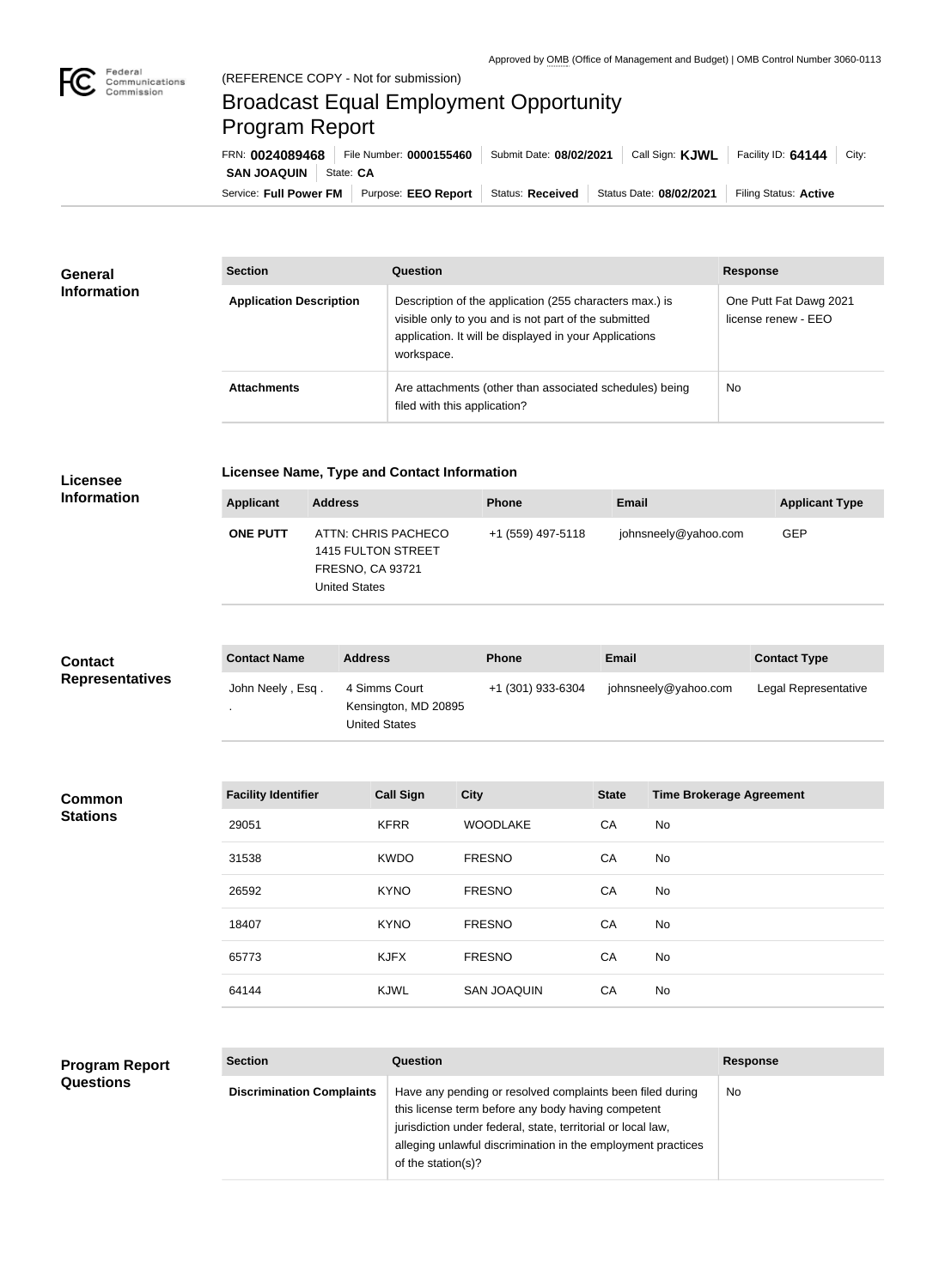

п

## Broadcast Equal Employment Opportunity Program Report

Service: Full Power FM | Purpose: EEO Report | Status: Received | Status Date: 08/02/2021 | Filing Status: Active **SAN JOAQUIN** | State: CA FRN: **0024089468** File Number: **0000155460** Submit Date: **08/02/2021** Call Sign: **KJWL** Facility ID: **64144** City:

| <b>General</b><br><b>Information</b> | <b>Section</b>                 | <b>Question</b>                                                                                                                                                                         | <b>Response</b>                               |
|--------------------------------------|--------------------------------|-----------------------------------------------------------------------------------------------------------------------------------------------------------------------------------------|-----------------------------------------------|
|                                      | <b>Application Description</b> | Description of the application (255 characters max.) is<br>visible only to you and is not part of the submitted<br>application. It will be displayed in your Applications<br>workspace. | One Putt Fat Dawg 2021<br>license renew - EEO |
|                                      | <b>Attachments</b>             | Are attachments (other than associated schedules) being<br>filed with this application?                                                                                                 | <b>No</b>                                     |

## **Licensee Information**

**Common Stations**

## **Licensee Name, Type and Contact Information**

| <b>Applicant</b> | <b>Address</b>                                                                               | <b>Phone</b>      | <b>Email</b>         | <b>Applicant Type</b> |
|------------------|----------------------------------------------------------------------------------------------|-------------------|----------------------|-----------------------|
| <b>ONE PUTT</b>  | ATTN: CHRIS PACHECO<br>1415 FULTON STREET<br><b>FRESNO, CA 93721</b><br><b>United States</b> | +1 (559) 497-5118 | johnsneely@yahoo.com | <b>GEP</b>            |
|                  |                                                                                              |                   |                      |                       |

| <b>Contact</b><br><b>Representatives</b> | <b>Contact Name</b> | <b>Address</b>                                                | <b>Phone</b>      | <b>Email</b>         | <b>Contact Type</b>  |
|------------------------------------------|---------------------|---------------------------------------------------------------|-------------------|----------------------|----------------------|
|                                          | John Neely, Esq.    | 4 Simms Court<br>Kensington, MD 20895<br><b>United States</b> | +1 (301) 933-6304 | johnsneely@yahoo.com | Legal Representative |
|                                          |                     |                                                               |                   |                      |                      |

| <b>Facility Identifier</b>                 | <b>Call Sign</b> | <b>City</b>        | <b>State</b> | <b>Time Brokerage Agreement</b> |
|--------------------------------------------|------------------|--------------------|--------------|---------------------------------|
| 29051                                      | <b>KFRR</b>      | <b>WOODLAKE</b>    | CA           | No                              |
| 31538                                      | <b>KWDO</b>      | <b>FRESNO</b>      | CA           | No                              |
| 26592                                      | <b>KYNO</b>      | <b>FRESNO</b>      | CA           | No                              |
| 18407                                      | <b>KYNO</b>      | <b>FRESNO</b>      | CA           | No                              |
| 65773                                      | <b>KJFX</b>      | <b>FRESNO</b>      | CA           | No                              |
| 64144<br><b>Contract Contract Contract</b> | <b>KJWL</b>      | <b>SAN JOAQUIN</b> | CA           | No                              |

## **Program Report Questions**

| <b>Section</b>                   | Question                                                                                                                                                                                                                                                              | <b>Response</b> |
|----------------------------------|-----------------------------------------------------------------------------------------------------------------------------------------------------------------------------------------------------------------------------------------------------------------------|-----------------|
| <b>Discrimination Complaints</b> | Have any pending or resolved complaints been filed during<br>this license term before any body having competent<br>jurisdiction under federal, state, territorial or local law,<br>alleging unlawful discrimination in the employment practices<br>of the station(s)? | No              |